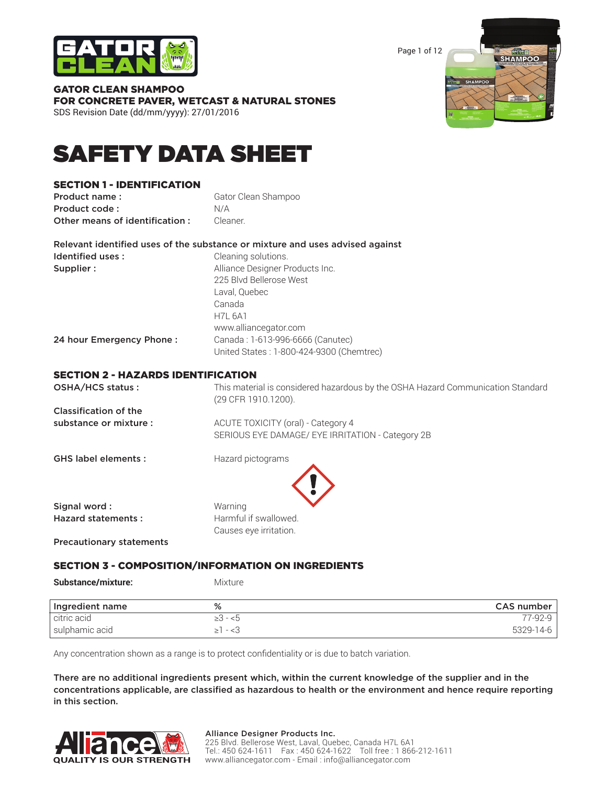

Page 1 of 12



GATOR CLEAN SHAMPOO FOR CONCRETE PAVER, WETCAST & NATURAL STONES SDS Revision Date (dd/mm/yyyy): 27/01/2016

# SAFETY DATA SHEET

### SECTION 1 - IDENTIFICATION

**Product name:** Gator Clean Shampoo Product code : N/A **Other means of identification :** Cleaner.

| Identified uses :        | Cleaning solutions.                      |  |  |  |
|--------------------------|------------------------------------------|--|--|--|
| Supplier :               | Alliance Designer Products Inc.          |  |  |  |
|                          | 225 Blvd Bellerose West                  |  |  |  |
|                          | Laval, Quebec                            |  |  |  |
|                          | Canada                                   |  |  |  |
|                          | <b>H7L 6A1</b>                           |  |  |  |
|                          | www.alliancegator.com                    |  |  |  |
| 24 hour Emergency Phone: | Canada: 1-613-996-6666 (Canutec)         |  |  |  |
|                          | United States: 1-800-424-9300 (Chemtrec) |  |  |  |

#### ECTION 2 - HAZARDS IDENTIFICATION

| OSHA/HCS status:           | This material is considered hazardous by the OSHA Hazard Communication Standard<br>(29 CFR 1910.1200). |
|----------------------------|--------------------------------------------------------------------------------------------------------|
| Classification of the      |                                                                                                        |
| substance or mixture :     | ACUTE TOXICITY (oral) - Category 4                                                                     |
|                            | SERIOUS EYE DAMAGE/ EYE IRRITATION - Category 2B                                                       |
| <b>GHS label elements:</b> | Hazard pictograms                                                                                      |
| Signal word:               | Warning                                                                                                |
| Hazard statements:         | Harmful if swallowed.                                                                                  |
|                            | Causes eye irritation.                                                                                 |

Precautionary statements

### SECTION 3 - COMPOSITION/INFORMATION ON INGREDIENTS

**Substance/mixture:** Mixture

| Ingredient name | %             | CAS number |
|-----------------|---------------|------------|
| citric acid     | $>3 - 5$      | 77-92-9    |
| sulphamic acid  | $\geq$ 1 - <3 | 5329-14-6  |

Any concentration shown as a range is to protect confidentiality or is due to batch variation.

There are no additional ingredients present which, within the current knowledge of the supplier and in the concentrations applicable, are classified as hazardous to health or the environment and hence require reporting in this section.

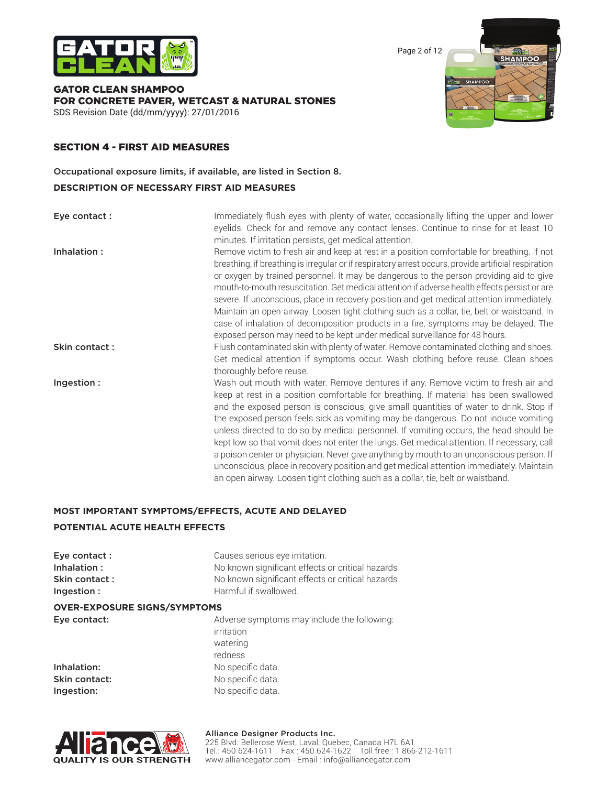

Page 2 of 12

GATOR CLEAN SHAMPOO FOR CONCRETE PAVER, WETCAST & NATURAL STONES SDS Revision Date (dd/mm/yyyy): 27/01/2016



### SECTION 4 - FIRST AID MEASURES

Occupational exposure limits, if available, are listed in Section 8.

#### **DESCRIPTION OF NECESSARY FIRST AID MEASURES**

**Eye contact :** Immediately flush eyes with plenty of water, occasionally lifting the upper and lower eyelids. Check for and remove any contact lenses. Continue to rinse for at least 10 minutes. If irritation persists, get medical attention.

Inhalation : Remove victim to fresh air and keep at rest in a position comfortable for breathing. If not breathing, if breathing is irregular or if respiratory arrest occurs, provide artificial respiration or oxygen by trained personnel. It may be dangerous to the person providing aid to give mouth-to-mouth resuscitation. Get medical attention if adverse health effects persist or are severe. If unconscious, place in recovery position and get medical attention immediately. Maintain an open airway. Loosen tight clothing such as a collar, tie, belt or waistband. In case of inhalation of decomposition products in a fire, symptoms may be delayed. The exposed person may need to be kept under medical surveillance for 48 hours.

- Skin contact: Flush contaminated skin with plenty of water. Remove contaminated clothing and shoes. Get medical attention if symptoms occur. Wash clothing before reuse. Clean shoes thoroughly before reuse.
- Ingestion : Wash out mouth with water. Remove dentures if any. Remove victim to fresh air and keep at rest in a position comfortable for breathing. If material has been swallowed and the exposed person is conscious, give small quantities of water to drink. Stop if the exposed person feels sick as vomiting may be dangerous. Do not induce vomiting unless directed to do so by medical personnel. If vomiting occurs, the head should be kept low so that vomit does not enter the lungs. Get medical attention. If necessary, call a poison center or physician. Never give anything by mouth to an unconscious person. If unconscious, place in recovery position and get medical attention immediately. Maintain an open airway. Loosen tight clothing such as a collar, tie, belt or waistband.

## **MOST IMPORTANT SYMPTOMS/EFFECTS, ACUTE AND DELAYED**

### **POTENTIAL ACUTE HEALTH EFFECTS**

| Eye contact:                        | Causes serious eye irritation.                                        |
|-------------------------------------|-----------------------------------------------------------------------|
| Inhalation:                         | No known significant effects or critical hazards                      |
| Skin contact:                       | No known significant effects or critical hazards                      |
| Ingestion:                          | Harmful if swallowed.                                                 |
| <b>OVER-EXPOSURE SIGNS/SYMPTOMS</b> |                                                                       |
| Eye contact:                        | Adverse symptoms may include the following:<br>irritation<br>watering |

**Ingestion:** No specific data.

redness Inhalation: No specific data. Skin contact: No specific data.



### Alliance Designer Products Inc.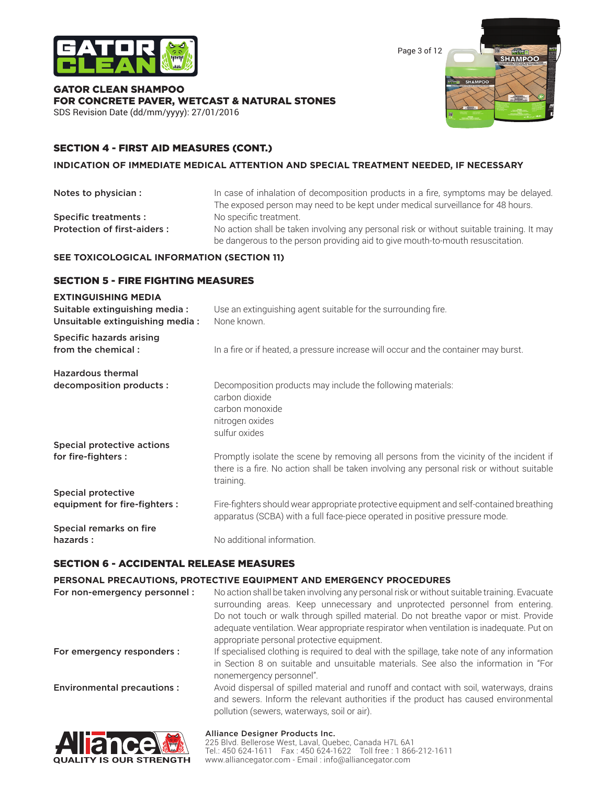

Page 3 of 12

#### GATOR CLEAN SHAMPOO FOR CONCRETE PAVER, WETCAST & NATURAL STONES SDS Revision Date (dd/mm/yyyy): 27/01/2016



### SECTION 4 - FIRST AID MEASURES (CONT.)

#### **INDICATION OF IMMEDIATE MEDICAL ATTENTION AND SPECIAL TREATMENT NEEDED, IF NECESSARY**

| Notes to physician :               | In case of inhalation of decomposition products in a fire, symptoms may be delayed.                                                                                         |
|------------------------------------|-----------------------------------------------------------------------------------------------------------------------------------------------------------------------------|
|                                    | The exposed person may need to be kept under medical surveillance for 48 hours.                                                                                             |
| Specific treatments :              | No specific treatment.                                                                                                                                                      |
| <b>Protection of first-aiders:</b> | No action shall be taken involving any personal risk or without suitable training. It may<br>be dangerous to the person providing aid to give mouth-to-mouth resuscitation. |

### **SEE TOXICOLOGICAL INFORMATION (SECTION 11)**

### SECTION 5 - FIRE FIGHTING MEASURES

#### **EXTINGUISHING MEDIA**

| Suitable extinguishing media:<br>Unsuitable extinguishing media: | Use an extinguishing agent suitable for the surrounding fire.<br>None known.                                                                                                                      |
|------------------------------------------------------------------|---------------------------------------------------------------------------------------------------------------------------------------------------------------------------------------------------|
| Specific hazards arising<br>from the chemical:                   | In a fire or if heated, a pressure increase will occur and the container may burst.                                                                                                               |
| <b>Hazardous thermal</b>                                         |                                                                                                                                                                                                   |
| decomposition products :                                         | Decomposition products may include the following materials:<br>carbon dioxide<br>carbon monoxide<br>nitrogen oxides<br>sulfur oxides                                                              |
| Special protective actions                                       |                                                                                                                                                                                                   |
| for fire-fighters :                                              | Promptly isolate the scene by removing all persons from the vicinity of the incident if<br>there is a fire. No action shall be taken involving any personal risk or without suitable<br>training. |
| <b>Special protective</b>                                        |                                                                                                                                                                                                   |
| equipment for fire-fighters :                                    | Fire-fighters should wear appropriate protective equipment and self-contained breathing<br>apparatus (SCBA) with a full face-piece operated in positive pressure mode.                            |
| Special remarks on fire                                          |                                                                                                                                                                                                   |
| hazards:                                                         | No additional information.                                                                                                                                                                        |

#### SECTION 6 - ACCIDENTAL RELEASE MEASURES

#### **PERSONAL PRECAUTIONS, PROTECTIVE EQUIPMENT AND EMERGENCY PROCEDURES**

| For non-emergency personnel:      | No action shall be taken involving any personal risk or without suitable training. Evacuate<br>surrounding areas. Keep unnecessary and unprotected personnel from entering.<br>Do not touch or walk through spilled material. Do not breathe vapor or mist. Provide<br>adequate ventilation. Wear appropriate respirator when ventilation is inadequate. Put on<br>appropriate personal protective equipment. |
|-----------------------------------|---------------------------------------------------------------------------------------------------------------------------------------------------------------------------------------------------------------------------------------------------------------------------------------------------------------------------------------------------------------------------------------------------------------|
| For emergency responders :        | If specialised clothing is required to deal with the spillage, take note of any information<br>in Section 8 on suitable and unsuitable materials. See also the information in "For<br>nonemergency personnel".                                                                                                                                                                                                |
| <b>Environmental precautions:</b> | Avoid dispersal of spilled material and runoff and contact with soil, waterways, drains<br>and sewers. Inform the relevant authorities if the product has caused environmental<br>pollution (sewers, waterways, soil or air).                                                                                                                                                                                 |



#### Alliance Designer Products Inc.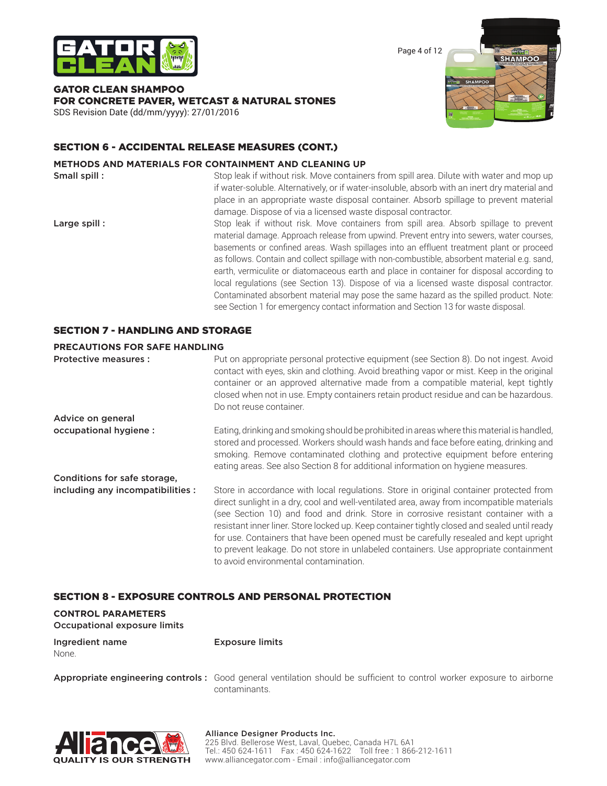

Page 4 of 12

### GATOR CLEAN SHAMPOO FOR CONCRETE PAVER, WETCAST & NATURAL STONES



SDS Revision Date (dd/mm/yyyy): 27/01/2016

### SECTION 6 - ACCIDENTAL RELEASE MEASURES (CONT.)

#### **METHODS AND MATERIALS FOR CONTAINMENT AND CLEANING UP**

**Small spill :** Stop leak if without risk. Move containers from spill area. Dilute with water and mop up if water-soluble. Alternatively, or if water-insoluble, absorb with an inert dry material and place in an appropriate waste disposal container. Absorb spillage to prevent material damage. Dispose of via a licensed waste disposal contractor.

Large spill : Stop leak if without risk. Move containers from spill area. Absorb spillage to prevent material damage. Approach release from upwind. Prevent entry into sewers, water courses, basements or confined areas. Wash spillages into an effluent treatment plant or proceed as follows. Contain and collect spillage with non-combustible, absorbent material e.g. sand, earth, vermiculite or diatomaceous earth and place in container for disposal according to local regulations (see Section 13). Dispose of via a licensed waste disposal contractor. Contaminated absorbent material may pose the same hazard as the spilled product. Note: see Section 1 for emergency contact information and Section 13 for waste disposal.

### SECTION 7 - HANDLING AND STORAGE

#### **PRECAUTIONS FOR SAFE HANDLING**

**Protective measures :** Put on appropriate personal protective equipment (see Section 8). Do not ingest. Avoid contact with eyes, skin and clothing. Avoid breathing vapor or mist. Keep in the original container or an approved alternative made from a compatible material, kept tightly closed when not in use. Empty containers retain product residue and can be hazardous. Do not reuse container. Advice on general occupational hygiene : Eating, drinking and smoking should be prohibited in areas where this material is handled, stored and processed. Workers should wash hands and face before eating, drinking and smoking. Remove contaminated clothing and protective equipment before entering eating areas. See also Section 8 for additional information on hygiene measures. Conditions for safe storage, including any incompatibilities : Store in accordance with local regulations. Store in original container protected from direct sunlight in a dry, cool and well-ventilated area, away from incompatible materials (see Section 10) and food and drink. Store in corrosive resistant container with a resistant inner liner. Store locked up. Keep container tightly closed and sealed until ready for use. Containers that have been opened must be carefully resealed and kept upright to prevent leakage. Do not store in unlabeled containers. Use appropriate containment to avoid environmental contamination.

### SECTION 8 - EXPOSURE CONTROLS AND PERSONAL PROTECTION

## **CONTROL PARAMETERS**

Occupational exposure limits

| Ingredient name | <b>Exposure limits</b> |
|-----------------|------------------------|
| None.           |                        |

Appropriate engineering controls : Good general ventilation should be sufficient to control worker exposure to airborne contaminants.

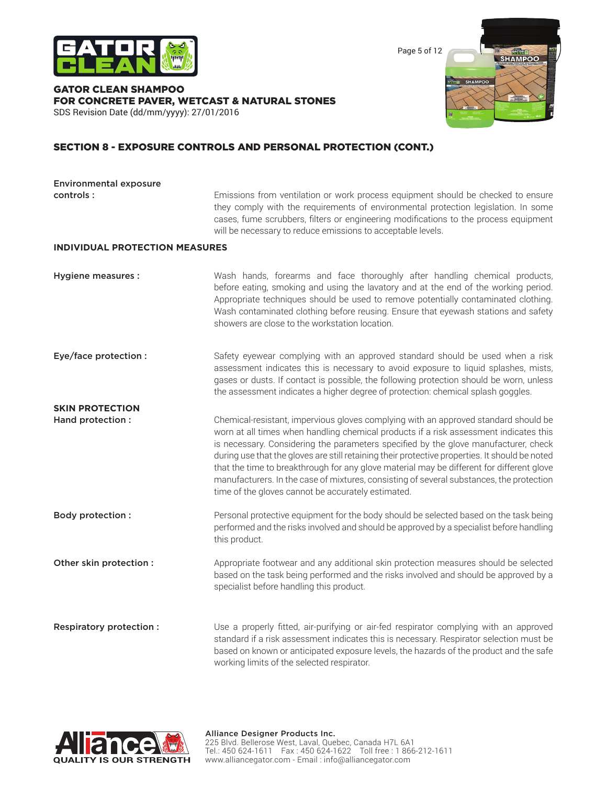

Page 5 of 12

#### GATOR CLEAN SHAMPOO FOR CONCRETE PAVER, WETCAST & NATURAL STONES SDS Revision Date (dd/mm/yyyy): 27/01/2016



### SECTION 8 - EXPOSURE CONTROLS AND PERSONAL PROTECTION (CONT.)

| <b>Environmental exposure</b>               |                                                                                                                                                                                                                                                                                                                                                                                                                                                                                                                                                                                                                      |  |  |  |
|---------------------------------------------|----------------------------------------------------------------------------------------------------------------------------------------------------------------------------------------------------------------------------------------------------------------------------------------------------------------------------------------------------------------------------------------------------------------------------------------------------------------------------------------------------------------------------------------------------------------------------------------------------------------------|--|--|--|
| controls:                                   | Emissions from ventilation or work process equipment should be checked to ensure<br>they comply with the requirements of environmental protection legislation. In some<br>cases, fume scrubbers, filters or engineering modifications to the process equipment<br>will be necessary to reduce emissions to acceptable levels.                                                                                                                                                                                                                                                                                        |  |  |  |
| <b>INDIVIDUAL PROTECTION MEASURES</b>       |                                                                                                                                                                                                                                                                                                                                                                                                                                                                                                                                                                                                                      |  |  |  |
| Hygiene measures :                          | Wash hands, forearms and face thoroughly after handling chemical products,<br>before eating, smoking and using the lavatory and at the end of the working period.<br>Appropriate techniques should be used to remove potentially contaminated clothing.<br>Wash contaminated clothing before reusing. Ensure that eyewash stations and safety<br>showers are close to the workstation location.                                                                                                                                                                                                                      |  |  |  |
| Eye/face protection :                       | Safety eyewear complying with an approved standard should be used when a risk<br>assessment indicates this is necessary to avoid exposure to liquid splashes, mists,<br>gases or dusts. If contact is possible, the following protection should be worn, unless<br>the assessment indicates a higher degree of protection: chemical splash goggles.                                                                                                                                                                                                                                                                  |  |  |  |
| <b>SKIN PROTECTION</b><br>Hand protection : | Chemical-resistant, impervious gloves complying with an approved standard should be<br>worn at all times when handling chemical products if a risk assessment indicates this<br>is necessary. Considering the parameters specified by the glove manufacturer, check<br>during use that the gloves are still retaining their protective properties. It should be noted<br>that the time to breakthrough for any glove material may be different for different glove<br>manufacturers. In the case of mixtures, consisting of several substances, the protection<br>time of the gloves cannot be accurately estimated. |  |  |  |
| <b>Body protection:</b>                     | Personal protective equipment for the body should be selected based on the task being<br>performed and the risks involved and should be approved by a specialist before handling<br>this product.                                                                                                                                                                                                                                                                                                                                                                                                                    |  |  |  |
| Other skin protection :                     | Appropriate footwear and any additional skin protection measures should be selected<br>based on the task being performed and the risks involved and should be approved by a<br>specialist before handling this product.                                                                                                                                                                                                                                                                                                                                                                                              |  |  |  |
| <b>Respiratory protection:</b>              | Use a properly fitted, air-purifying or air-fed respirator complying with an approved<br>standard if a risk assessment indicates this is necessary. Respirator selection must be<br>based on known or anticipated exposure levels, the hazards of the product and the safe<br>working limits of the selected respirator.                                                                                                                                                                                                                                                                                             |  |  |  |

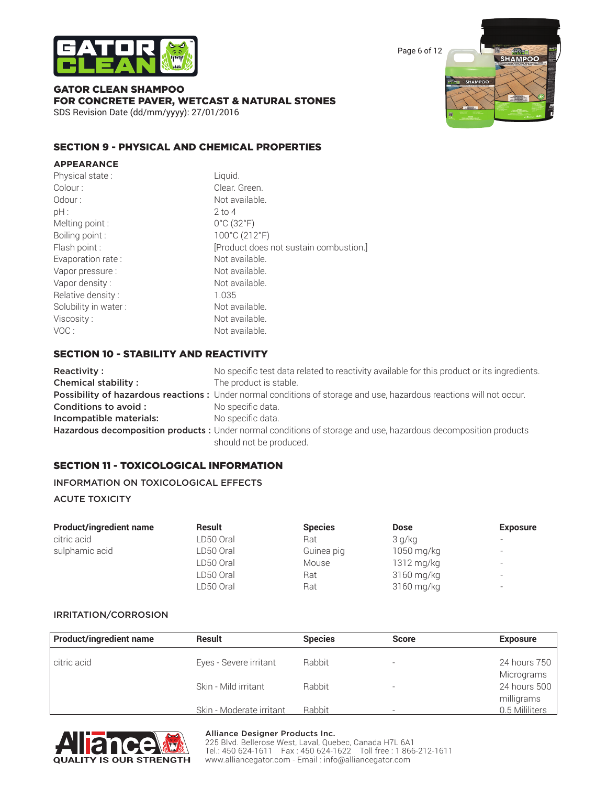

Page 6 of 12

#### GATOR CLEAN SHAMPOO FOR CONCRETE PAVER, WETCAST & NATURAL STONES SDS Revision Date (dd/mm/yyyy): 27/01/2016

### SECTION 9 - PHYSICAL AND CHEMICAL PROPERTIES

| <b>APPEARANCE</b>    |                                        |
|----------------------|----------------------------------------|
| Physical state:      | Liquid.                                |
| Colour:              | Clear. Green.                          |
| Odour :              | Not available.                         |
| pH :                 | $2$ to 4                               |
| Melting point:       | $0^{\circ}$ C (32 $^{\circ}$ F)        |
| Boiling point:       | 100°C (212°F)                          |
| Flash point :        | [Product does not sustain combustion.] |
| Evaporation rate:    | Not available.                         |
| Vapor pressure :     | Not available.                         |
| Vapor density:       | Not available.                         |
| Relative density:    | 1.035                                  |
| Solubility in water: | Not available.                         |
| Viscosity :          | Not available.                         |
| VOC :                | Not available.                         |

#### SECTION 10 - STABILITY AND REACTIVITY

Reactivity : No specific test data related to reactivity available for this product or its ingredients. **Chemical stability :** The product is stable. Possibility of hazardous reactions : Under normal conditions of storage and use, hazardous reactions will not occur. Conditions to avoid : No specific data. Incompatible materials: No specific data. Hazardous decomposition products : Under normal conditions of storage and use, hazardous decomposition products should not be produced.

### SECTION 11 - TOXICOLOGICAL INFORMATION

#### INFORMATION ON TOXICOLOGICAL EFFECTS

#### ACUTE TOXICITY

| <b>Product/ingredient name</b> | <b>Result</b> | <b>Species</b> | <b>Dose</b> | <b>Exposure</b>          |
|--------------------------------|---------------|----------------|-------------|--------------------------|
| citric acid                    | LD50 Oral     | Rat            | 3 g/kg      |                          |
| sulphamic acid                 | LD50 Oral     | Guinea pig     | 1050 mg/kg  | $\overline{\phantom{0}}$ |
|                                | LD50 Oral     | Mouse          | 1312 mg/kg  | $\overline{a}$           |
|                                | LD50 Oral     | Rat            | 3160 mg/kg  | $\overline{\phantom{0}}$ |
|                                | LD50 Oral     | Rat            | 3160 mg/kg  | $\overline{\phantom{0}}$ |

#### IRRITATION/CORROSION

| <b>Product/ingredient name</b> | <b>Result</b>            | <b>Species</b> | <b>Score</b>             | <b>Exposure</b> |
|--------------------------------|--------------------------|----------------|--------------------------|-----------------|
| citric acid                    | Eyes - Severe irritant   | Rabbit         | $\overline{\phantom{a}}$ | 24 hours 750    |
|                                |                          |                |                          | Micrograms      |
|                                | Skin - Mild irritant     | <b>Rabbit</b>  |                          | 24 hours 500    |
|                                |                          |                |                          | milligrams      |
|                                | Skin - Moderate irritant | Rabbit         |                          | 0.5 Mililiters  |



#### Alliance Designer Products Inc.

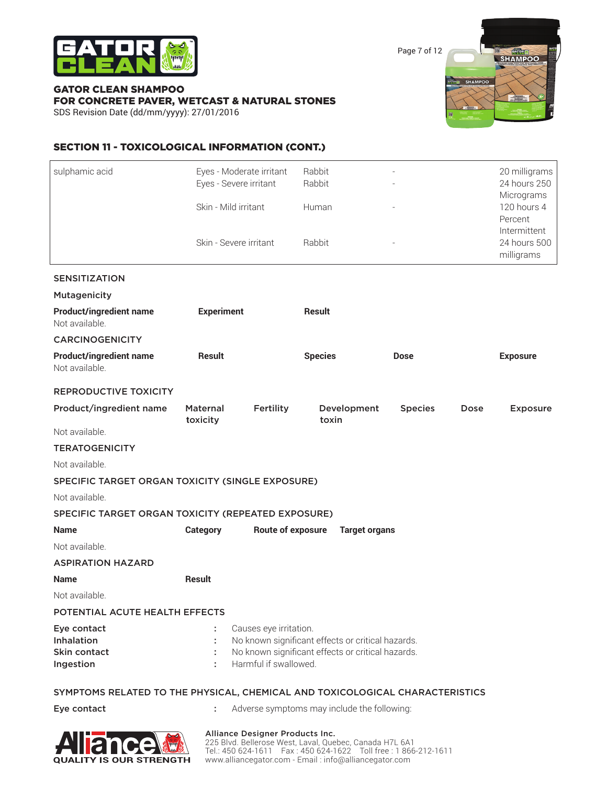

Page 7 of 12

### GATOR CLEAN SHAMPOO FOR CONCRETE PAVER, WETCAST & NATURAL STONES

SDS Revision Date (dd/mm/yyyy): 27/01/2016



### SECTION 11 - TOXICOLOGICAL INFORMATION (CONT.)

| sulphamic acid                                                               | Eyes - Moderate irritant<br>Eyes - Severe irritant<br>Skin - Mild irritant |                                                                                                                                                           | Rabbit<br>Rabbit |                      |                | 20 milligrams<br>24 hours 250<br>Micrograms<br>120 hours 4<br>Percent |                                            |
|------------------------------------------------------------------------------|----------------------------------------------------------------------------|-----------------------------------------------------------------------------------------------------------------------------------------------------------|------------------|----------------------|----------------|-----------------------------------------------------------------------|--------------------------------------------|
|                                                                              |                                                                            |                                                                                                                                                           | Human            |                      |                |                                                                       |                                            |
|                                                                              | Skin - Severe irritant                                                     |                                                                                                                                                           | Rabbit           |                      |                |                                                                       | Intermittent<br>24 hours 500<br>milligrams |
| <b>SENSITIZATION</b>                                                         |                                                                            |                                                                                                                                                           |                  |                      |                |                                                                       |                                            |
| <b>Mutagenicity</b>                                                          |                                                                            |                                                                                                                                                           |                  |                      |                |                                                                       |                                            |
| <b>Product/ingredient name</b><br>Not available.                             | <b>Experiment</b>                                                          |                                                                                                                                                           | <b>Result</b>    |                      |                |                                                                       |                                            |
| <b>CARCINOGENICITY</b>                                                       |                                                                            |                                                                                                                                                           |                  |                      |                |                                                                       |                                            |
| <b>Product/ingredient name</b><br>Not available.                             | <b>Result</b>                                                              |                                                                                                                                                           | <b>Species</b>   |                      | <b>Dose</b>    |                                                                       | <b>Exposure</b>                            |
| <b>REPRODUCTIVE TOXICITY</b>                                                 |                                                                            |                                                                                                                                                           |                  |                      |                |                                                                       |                                            |
| Product/ingredient name                                                      | Maternal<br>toxicity                                                       | Fertility                                                                                                                                                 | toxin            | Development          | <b>Species</b> | Dose                                                                  | <b>Exposure</b>                            |
| Not available.                                                               |                                                                            |                                                                                                                                                           |                  |                      |                |                                                                       |                                            |
| <b>TERATOGENICITY</b>                                                        |                                                                            |                                                                                                                                                           |                  |                      |                |                                                                       |                                            |
| Not available.                                                               |                                                                            |                                                                                                                                                           |                  |                      |                |                                                                       |                                            |
| SPECIFIC TARGET ORGAN TOXICITY (SINGLE EXPOSURE)                             |                                                                            |                                                                                                                                                           |                  |                      |                |                                                                       |                                            |
| Not available.                                                               |                                                                            |                                                                                                                                                           |                  |                      |                |                                                                       |                                            |
| SPECIFIC TARGET ORGAN TOXICITY (REPEATED EXPOSURE)                           |                                                                            |                                                                                                                                                           |                  |                      |                |                                                                       |                                            |
| <b>Name</b>                                                                  | <b>Category</b>                                                            | Route of exposure                                                                                                                                         |                  | <b>Target organs</b> |                |                                                                       |                                            |
| Not available.                                                               |                                                                            |                                                                                                                                                           |                  |                      |                |                                                                       |                                            |
| <b>ASPIRATION HAZARD</b>                                                     |                                                                            |                                                                                                                                                           |                  |                      |                |                                                                       |                                            |
| <b>Name</b>                                                                  | <b>Result</b>                                                              |                                                                                                                                                           |                  |                      |                |                                                                       |                                            |
| Not available.                                                               |                                                                            |                                                                                                                                                           |                  |                      |                |                                                                       |                                            |
| POTENTIAL ACUTE HEALTH EFFECTS                                               |                                                                            |                                                                                                                                                           |                  |                      |                |                                                                       |                                            |
| Eye contact<br>Inhalation<br>Skin contact<br>Ingestion                       | ÷                                                                          | Causes eye irritation.<br>No known significant effects or critical hazards.<br>No known significant effects or critical hazards.<br>Harmful if swallowed. |                  |                      |                |                                                                       |                                            |
| SYMPTOMS RELATED TO THE PHYSICAL, CHEMICAL AND TOXICOLOGICAL CHARACTERISTICS |                                                                            |                                                                                                                                                           |                  |                      |                |                                                                       |                                            |

Eye contact  $\qquad \qquad : \qquad$  Adverse symptoms may include the following:



#### Alliance Designer Products Inc.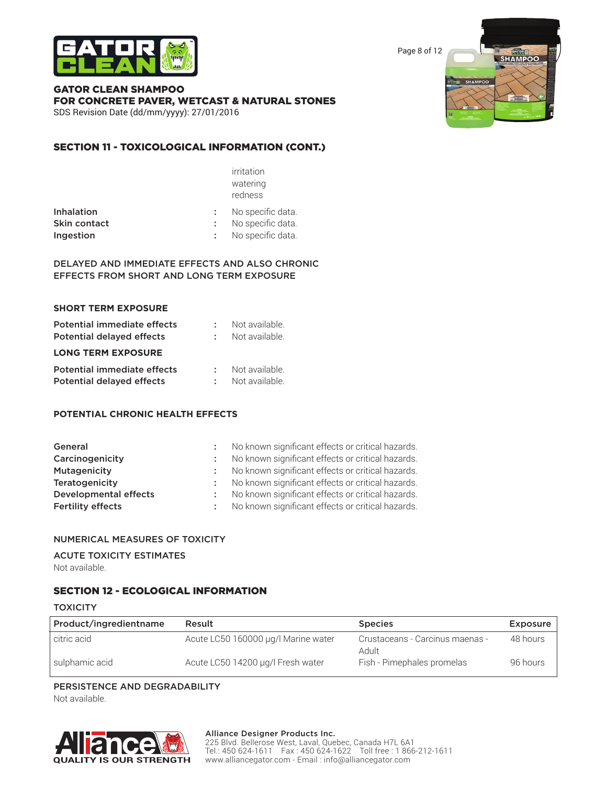

Page 8 of 12

#### GATOR CLEAN SHAMPOO FOR CONCRETE PAVER, WETCAST & NATURAL STONES SDS Revision Date (dd/mm/yyyy): 27/01/2016

### SECTION 11 - TOXICOLOGICAL INFORMATION (CONT.)

|                   | irritation        |  |
|-------------------|-------------------|--|
|                   | watering          |  |
|                   | redness           |  |
| <b>Inhalation</b> | No specific data. |  |
| Skin contact      | No specific data. |  |
| Ingestion         | No specific data. |  |
|                   |                   |  |

#### DELAYED AND IMMEDIATE EFFECTS AND ALSO CHRONIC EFFECTS FROM SHORT AND LONG TERM EXPOSURE

| <b>SHORT TERM EXPOSURE</b>                                      |                                  |
|-----------------------------------------------------------------|----------------------------------|
| Potential immediate effects<br><b>Potential delayed effects</b> | Not available.<br>Not available. |
| <b>LONG TERM EXPOSURE</b>                                       |                                  |
| Potential immediate effects<br>Potential delayed effects        | Not available.<br>Not available. |

#### **POTENTIAL CHRONIC HEALTH EFFECTS**

| General                      |      | No known significant effects or critical hazards. |
|------------------------------|------|---------------------------------------------------|
| Carcinogenicity              |      | No known significant effects or critical hazards. |
| <b>Mutagenicity</b>          |      | No known significant effects or critical hazards. |
| Teratogenicity               |      | No known significant effects or critical hazards. |
| <b>Developmental effects</b> | di s | No known significant effects or critical hazards. |
| <b>Fertility effects</b>     |      | No known significant effects or critical hazards. |

#### NUMERICAL MEASURES OF TOXICITY

### ACUTE TOXICITY ESTIMATES

Not available.

### SECTION 12 - ECOLOGICAL INFORMATION

#### **TOXICITY**

| Product/ingredientname | Result                              | <b>Species</b>                           | <b>Exposure</b> |
|------------------------|-------------------------------------|------------------------------------------|-----------------|
| citric acid            | Acute LC50 160000 µg/l Marine water | Crustaceans - Carcinus maenas -<br>Adult | 48 hours        |
| sulphamic acid         | Acute LC50 14200 µg/l Fresh water   | Fish - Pimephales promelas               | 96 hours        |

#### PERSISTENCE AND DEGRADABILITY

Not available.



#### Alliance Designer Products Inc.

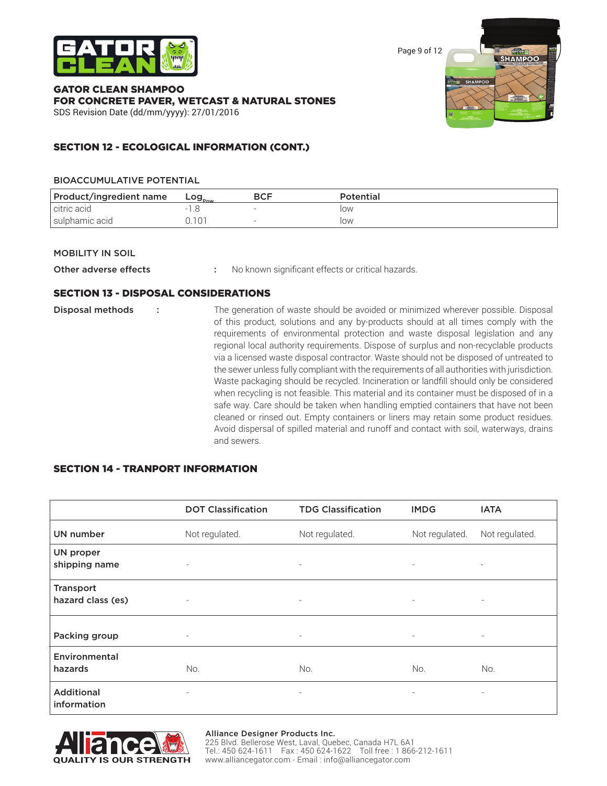

Page 9 of 12

GATOR CLEAN SHAMPOO FOR CONCRETE PAVER, WETCAST & NATURAL STONES SDS Revision Date (dd/mm/yyyy): 27/01/2016



### SECTION 12 - ECOLOGICAL INFORMATION (CONT.)

#### BIOACCUMULATIVE POTENTIAL

| Product/ingredient name | Log <sub>pow</sub> | BCF | Potential |
|-------------------------|--------------------|-----|-----------|
| l citric acid           |                    |     | low       |
| sulphamic acid          |                    |     | low       |

#### MOBILITY IN SOIL

Other adverse effects : No known significant effects or critical hazards.

#### SECTION 13 - DISPOSAL CONSIDERATIONS

| Disposal methods | The generation of waste should be avoided or minimized wherever possible. Disposal<br>of this product, solutions and any by-products should at all times comply with the<br>requirements of environmental protection and waste disposal legislation and any<br>regional local authority requirements. Dispose of surplus and non-recyclable products<br>via a licensed waste disposal contractor. Waste should not be disposed of untreated to<br>the sewer unless fully compliant with the requirements of all authorities with jurisdiction.<br>Waste packaging should be recycled. Incineration or landfill should only be considered<br>when recycling is not feasible. This material and its container must be disposed of in a<br>safe way. Care should be taken when handling emptied containers that have not been<br>cleaned or rinsed out. Empty containers or liners may retain some product residues.<br>Avoid dispersal of spilled material and runoff and contact with soil, waterways, drains |
|------------------|--------------------------------------------------------------------------------------------------------------------------------------------------------------------------------------------------------------------------------------------------------------------------------------------------------------------------------------------------------------------------------------------------------------------------------------------------------------------------------------------------------------------------------------------------------------------------------------------------------------------------------------------------------------------------------------------------------------------------------------------------------------------------------------------------------------------------------------------------------------------------------------------------------------------------------------------------------------------------------------------------------------|
|                  | and sewers.                                                                                                                                                                                                                                                                                                                                                                                                                                                                                                                                                                                                                                                                                                                                                                                                                                                                                                                                                                                                  |

### SECTION 14 - TRANPORT INFORMATION

|                                  | <b>DOT Classification</b> | <b>TDG Classification</b> | <b>IMDG</b>              | <b>IATA</b>              |
|----------------------------------|---------------------------|---------------------------|--------------------------|--------------------------|
| <b>UN number</b>                 | Not regulated.            | Not regulated.            | Not regulated.           | Not regulated.           |
| UN proper<br>shipping name       | $\overline{\phantom{0}}$  | $\overline{\phantom{a}}$  | $\overline{\phantom{a}}$ | $\overline{\phantom{a}}$ |
| Transport<br>hazard class (es)   | $\overline{\phantom{a}}$  | $\overline{\phantom{a}}$  | $\overline{\phantom{a}}$ | $\overline{\phantom{a}}$ |
| Packing group                    | $\overline{\phantom{a}}$  | $\overline{\phantom{a}}$  | $\overline{\phantom{a}}$ | $\overline{\phantom{a}}$ |
| Environmental<br>hazards         | No.                       | No.                       | No.                      | No.                      |
| <b>Additional</b><br>information | $\overline{\phantom{a}}$  | ۰.                        | $\overline{\phantom{a}}$ | $\overline{\phantom{a}}$ |



#### Alliance Designer Products Inc.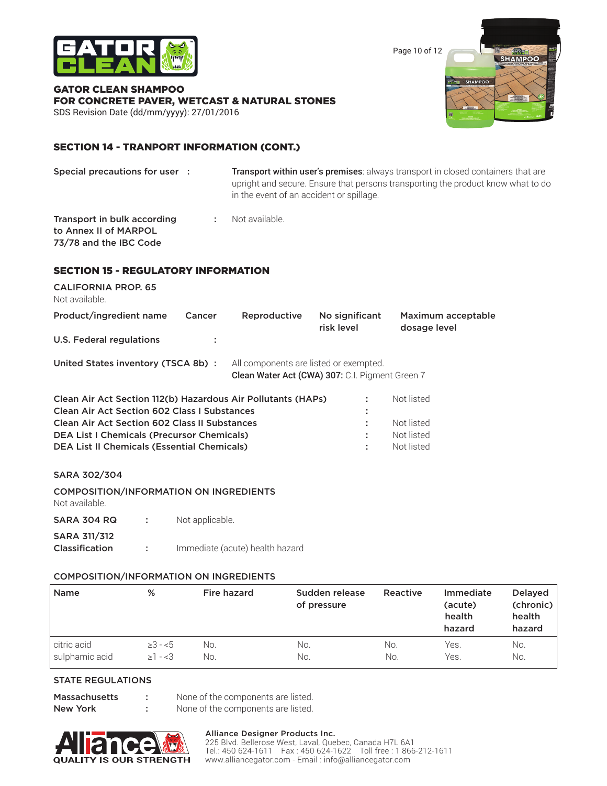

Page 10 of 12

#### GATOR CLEAN SHAMPOO FOR CONCRETE PAVER, WETCAST & NATURAL STONES SDS Revision Date (dd/mm/yyyy): 27/01/2016



### SECTION 14 - TRANPORT INFORMATION (CONT.)

| Special precautions for user : |  | Transport within user's premises: always transport in closed containers that are                                             |  |  |  |  |
|--------------------------------|--|------------------------------------------------------------------------------------------------------------------------------|--|--|--|--|
|                                |  | upright and secure. Ensure that persons transporting the product know what to do<br>in the event of an accident or spillage. |  |  |  |  |
|                                |  |                                                                                                                              |  |  |  |  |

**Transport in bulk according Transport in bulk according Transport in Australian** to Annex II of MARPOL 73/78 and the IBC Code

### SECTION 15 - REGULATORY INFORMATION

| <b>CALIFORNIA PROP. 65</b><br>Not available.                 |                                                                                                                                         |              |                              |                                    |  |  |  |  |  |
|--------------------------------------------------------------|-----------------------------------------------------------------------------------------------------------------------------------------|--------------|------------------------------|------------------------------------|--|--|--|--|--|
| Product/ingredient name                                      | Cancer                                                                                                                                  | Reproductive | No significant<br>risk level | Maximum acceptable<br>dosage level |  |  |  |  |  |
| U.S. Federal regulations                                     |                                                                                                                                         |              |                              |                                    |  |  |  |  |  |
|                                                              | All components are listed or exempted.<br>United States inventory (TSCA 8b) :<br><b>Clean Water Act (CWA) 307: C.I. Pigment Green 7</b> |              |                              |                                    |  |  |  |  |  |
| Clean Air Act Section 112(b) Hazardous Air Pollutants (HAPs) |                                                                                                                                         |              |                              | Not listed                         |  |  |  |  |  |
| <b>Clean Air Act Section 602 Class I Substances</b>          |                                                                                                                                         |              |                              |                                    |  |  |  |  |  |
| <b>Clean Air Act Section 602 Class II Substances</b>         |                                                                                                                                         |              |                              | Not listed                         |  |  |  |  |  |
| <b>DEA List I Chemicals (Precursor Chemicals)</b>            |                                                                                                                                         |              |                              | Not listed                         |  |  |  |  |  |
| <b>DEA List II Chemicals (Essential Chemicals)</b>           |                                                                                                                                         |              |                              | Not listed                         |  |  |  |  |  |

#### SARA 302/304

| Not available.                        |                             | <b>COMPOSITION/INFORMATION ON INGREDIENTS</b> |
|---------------------------------------|-----------------------------|-----------------------------------------------|
| <b>SARA 304 RQ</b>                    | <b>Contract Contract</b>    | Not applicable.                               |
| <b>SARA 311/312</b><br>Classification | $\mathcal{L} = \mathcal{L}$ | Immediate (acute) health hazard               |

#### COMPOSITION/INFORMATION ON INGREDIENTS

| <b>Name</b>    | %            | Fire hazard | Sudden release<br>of pressure | Reactive | <b>Immediate</b><br>(acute)<br>health<br>hazard | <b>Delayed</b><br>(chronic)<br>health<br>hazard |
|----------------|--------------|-------------|-------------------------------|----------|-------------------------------------------------|-------------------------------------------------|
| citric acid    | $\geq 3 - 5$ | No.         | No.                           | No.      | Yes.                                            | No.                                             |
| sulphamic acid | $\geq 1 - 3$ | No.         | No.                           | No.      | Yes.                                            | No.                                             |

#### STATE REGULATIONS

Massachusetts : None of the components are listed.

New York : None of the components are listed.



#### Alliance Designer Products Inc.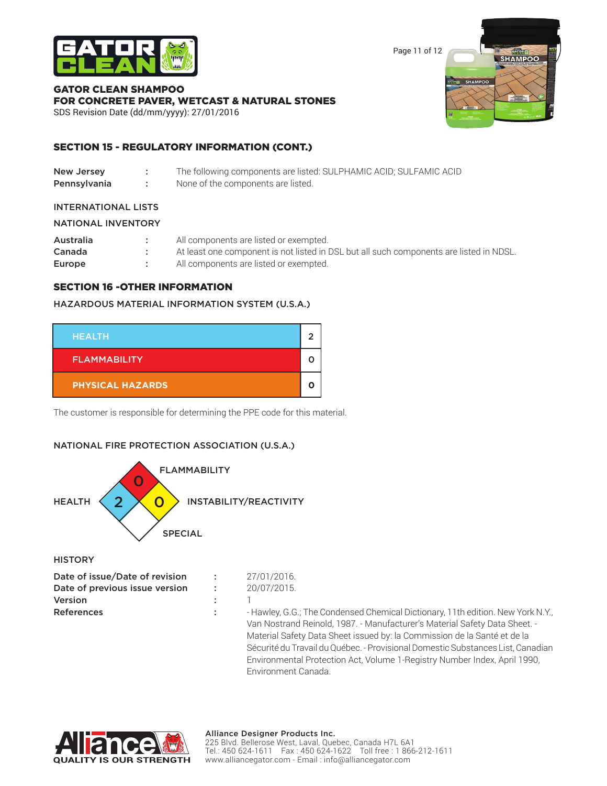

Page 11 of 12

SHAMPOO

**SHAMPOO** 

### GATOR CLEAN SHAMPOO FOR CONCRETE PAVER, WETCAST & NATURAL STONES

SDS Revision Date (dd/mm/yyyy): 27/01/2016

### SECTION 15 - REGULATORY INFORMATION (CONT.)

| New Jersey   | The following components are listed: SULPHAMIC ACID; SULFAMIC ACID |
|--------------|--------------------------------------------------------------------|
| Pennsylvania | None of the components are listed.                                 |

#### INTERNATIONAL LISTS

| <b>NATIONAL INVENTORY</b> |
|---------------------------|
|                           |

| Australia | All components are listed or exempted.                                                  |
|-----------|-----------------------------------------------------------------------------------------|
| Canada    | At least one component is not listed in DSL but all such components are listed in NDSL. |
| Europe    | All components are listed or exempted.                                                  |

### SECTION 16 -OTHER INFORMATION

#### HAZARDOUS MATERIAL INFORMATION SYSTEM (U.S.A.)



The customer is responsible for determining the PPE code for this material.

### NATIONAL FIRE PROTECTION ASSOCIATION (U.S.A.)



**HISTORY** 

| Date of issue/Date of revision | ÷. | 27/01/2016.                                                                     |
|--------------------------------|----|---------------------------------------------------------------------------------|
| Date of previous issue version | ÷. | 20/07/2015.                                                                     |
| Version                        |    |                                                                                 |
| <b>References</b>              |    | - Hawley, G.G.; The Condensed Chemical Dictionary, 11th edition. New York N.Y., |
|                                |    | Van Nostrand Reinold, 1987. - Manufacturer's Material Safety Data Sheet. -      |
|                                |    | Material Safety Data Sheet issued by: la Commission de la Santé et de la        |

 Sécurité du Travail du Québec. - Provisional Domestic Substances List, Canadian Environmental Protection Act, Volume 1-Registry Number Index, April 1990, Environment Canada.